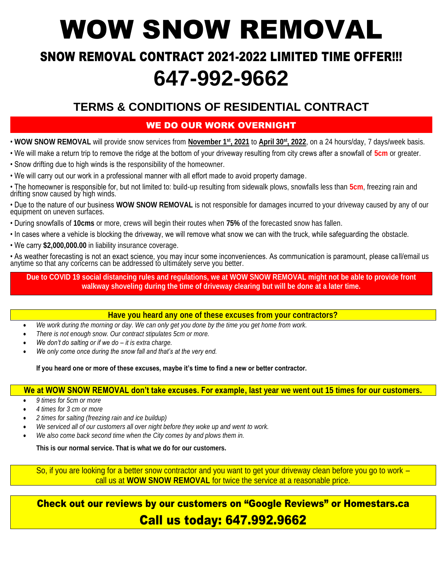# WOW SNOW REMOVAL

# SNOW REMOVAL CONTRACT 2021-2022 LIMITED TIME OFFER!!! **647-992-9662**

### **TERMS & CONDITIONS OF RESIDENTIAL CONTRACT**

#### WE DO OUR WORK OVERNIGHT

- **WOW SNOW REMOVAL** will provide snow services from **November 1st, 2021** to **April 30 st, 2022**, on a 24 hours/day, 7 days/week basis.
- We will make a return trip to remove the ridge at the bottom of your driveway resulting from city crews after a snowfall of **5cm** or greater.
- Snow drifting due to high winds is the responsibility of the homeowner.
- We will carry out our work in a professional manner with all effort made to avoid property damage.
- The homeowner is responsible for, but not limited to: build-up resulting from sidewalk plows, snowfalls less than **5cm**, freezing rain and drifting snow caused by high winds.
- Due to the nature of our business **WOW SNOW REMOVAL** is not responsible for damages incurred to your driveway caused by any of our equipment on uneven surfaces.
- During snowfalls of **10cms** or more, crews will begin their routes when **75%** of the forecasted snow has fallen.
- In cases where a vehicle is blocking the driveway, we will remove what snow we can with the truck, while safeguarding the obstacle.
- We carry **\$2,000,000.00** in liability insurance coverage.

• As weather forecasting is not an exact science, you may incur some inconveniences. As communication is paramount, please call/email us anytime so that any concerns can be addressed to ultimately serve you better.

**Due to COVID 19 social distancing rules and regulations, we at WOW SNOW REMOVAL might not be able to provide front walkway shoveling during the time of driveway clearing but will be done at a later time.**

#### **Have you heard any one of these excuses from your contractors?**

- *We work during the morning or day. We can only get you done by the time you get home from work.*
- *There is not enough snow. Our contract stipulates 5cm or more.*
- *We don't do salting or if we do – it is extra charge.*
- *We only come once during the snow fall and that's at the very end.*

**If you heard one or more of these excuses, maybe it's time to find a new or better contractor.**

#### **We at WOW SNOW REMOVAL don't take excuses. For example, last year we went out 15 times for our customers.**

- *9 times for 5cm or more*
- *4 times for 3 cm or more*
- *2 times for salting (freezing rain and ice buildup)*
- *We serviced all of our customers all over night before they woke up and went to work.*
- *We also come back second time when the City comes by and plows them in.*

**This is our normal service. That is what we do for our customers.**

So, if you are looking for a better snow contractor and you want to get your driveway clean before you go to work – call us at **WOW SNOW REMOVAL** for twice the service at a reasonable price.

Check out our reviews by our customers on "Google Reviews" or Homestars.ca Call us today: 647.992.9662